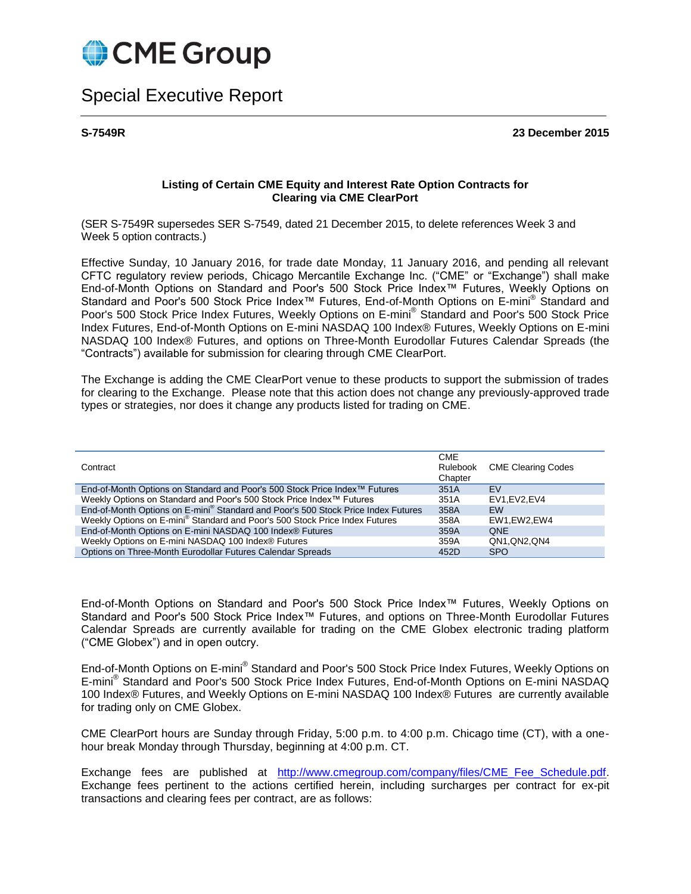

## Special Executive Report

**S-7549R 23 December 2015**

## **Listing of Certain CME Equity and Interest Rate Option Contracts for Clearing via CME ClearPort**

(SER S-7549R supersedes SER S-7549, dated 21 December 2015, to delete references Week 3 and Week 5 option contracts.)

Effective Sunday, 10 January 2016, for trade date Monday, 11 January 2016, and pending all relevant CFTC regulatory review periods, Chicago Mercantile Exchange Inc. ("CME" or "Exchange") shall make End-of-Month Options on Standard and Poor's 500 Stock Price Index™ Futures, Weekly Options on Standard and Poor's 500 Stock Price Index™ Futures, End-of-Month Options on E-mini® Standard and Poor's 500 Stock Price Index Futures, Weekly Options on E-mini® Standard and Poor's 500 Stock Price Index Futures, End-of-Month Options on E-mini NASDAQ 100 Index® Futures, Weekly Options on E-mini NASDAQ 100 Index® Futures, and options on Three-Month Eurodollar Futures Calendar Spreads (the "Contracts") available for submission for clearing through CME ClearPort.

The Exchange is adding the CME ClearPort venue to these products to support the submission of trades for clearing to the Exchange. Please note that this action does not change any previously-approved trade types or strategies, nor does it change any products listed for trading on CME.

| Contract                                                                                      | <b>CME</b><br>Rulebook<br>Chapter | <b>CME Clearing Codes</b> |
|-----------------------------------------------------------------------------------------------|-----------------------------------|---------------------------|
| End-of-Month Options on Standard and Poor's 500 Stock Price Index™ Futures                    | 351A                              | EV                        |
| Weekly Options on Standard and Poor's 500 Stock Price Index™ Futures                          | 351A                              | EV1.EV2.EV4               |
| End-of-Month Options on E-mini <sup>®</sup> Standard and Poor's 500 Stock Price Index Futures | 358A                              | <b>EW</b>                 |
| Weekly Options on E-mini <sup>®</sup> Standard and Poor's 500 Stock Price Index Futures       | 358A                              | EW1.EW2.EW4               |
| End-of-Month Options on E-mini NASDAQ 100 Index® Futures                                      | 359A                              | <b>ONE</b>                |
| Weekly Options on E-mini NASDAQ 100 Index® Futures                                            | 359A                              | QN1.QN2.QN4               |
| Options on Three-Month Eurodollar Futures Calendar Spreads                                    | 452D                              | <b>SPO</b>                |

End-of-Month Options on Standard and Poor's 500 Stock Price Index™ Futures, Weekly Options on Standard and Poor's 500 Stock Price Index™ Futures, and options on Three-Month Eurodollar Futures Calendar Spreads are currently available for trading on the CME Globex electronic trading platform ("CME Globex") and in open outcry.

End-of-Month Options on E-mini® Standard and Poor's 500 Stock Price Index Futures, Weekly Options on E-mini® Standard and Poor's 500 Stock Price Index Futures, End-of-Month Options on E-mini NASDAQ 100 Index® Futures, and Weekly Options on E-mini NASDAQ 100 Index® Futures are currently available for trading only on CME Globex.

CME ClearPort hours are Sunday through Friday, 5:00 p.m. to 4:00 p.m. Chicago time (CT), with a onehour break Monday through Thursday, beginning at 4:00 p.m. CT.

Exchange fees are published at http://www.cmegroup.com/company/files/CME Fee Schedule.pdf. Exchange fees pertinent to the actions certified herein, including surcharges per contract for ex-pit transactions and clearing fees per contract, are as follows: